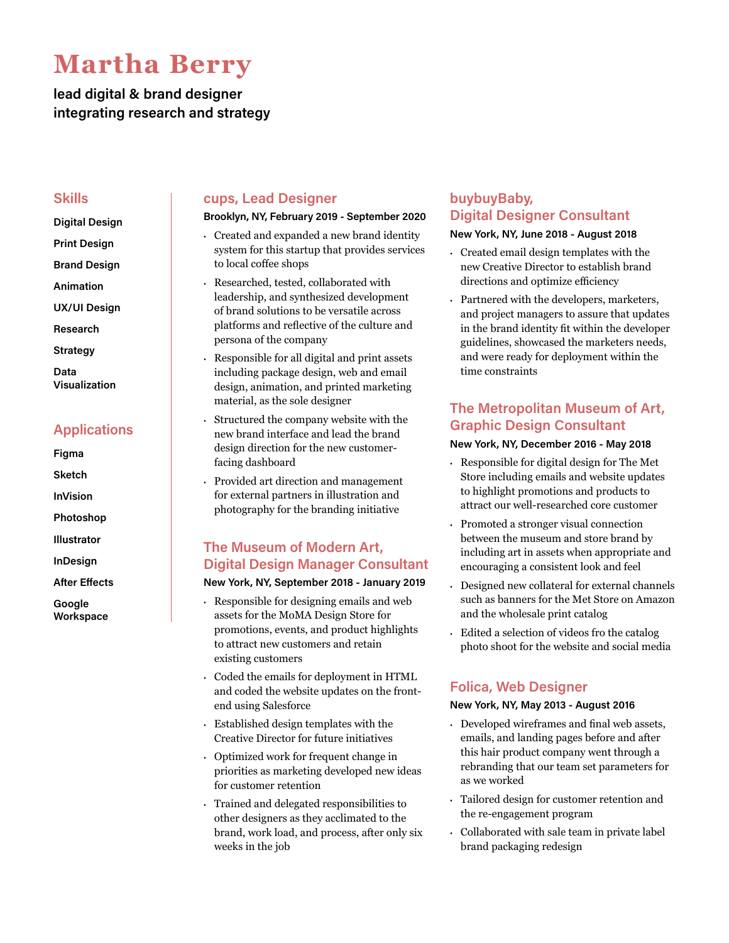# **Martha Berry**

# **lead digital & brand designer integrating research and strategy**

## **Skills**

- **Digital Design**
- **Print Design**
- **Brand Design**
- **Animation**
- **UX/UI Design**
- **Research**
- **Strategy**
- **Data Visualization**

# **Applications**

- **Figma**
- **Sketch**
- **InVision**
- **Photoshop**
- **Illustrator**
- **InDesign**
- **After Effects**
- **Google Workspace**

## **cups, Lead Designer**

#### **Brooklyn, NY, February 2019 - September 2020**

- **·** Created and expanded a new brand identity system for this startup that provides services to local coffee shops
- **·** Researched, tested, collaborated with leadership, and synthesized development of brand solutions to be versatile across platforms and reflective of the culture and persona of the company
- **·** Responsible for all digital and print assets including package design, web and email design, animation, and printed marketing material, as the sole designer
- **·** Structured the company website with the new brand interface and lead the brand design direction for the new customerfacing dashboard
- **·** Provided art direction and management for external partners in illustration and photography for the branding initiative

# **The Museum of Modern Art, Digital Design Manager Consultant**

#### **New York, NY, September 2018 - January 2019**

- **·** Responsible for designing emails and web assets for the MoMA Design Store for promotions, events, and product highlights to attract new customers and retain existing customers
- **·** Coded the emails for deployment in HTML and coded the website updates on the frontend using Salesforce
- **·** Established design templates with the Creative Director for future initiatives
- **·** Optimized work for frequent change in priorities as marketing developed new ideas for customer retention
- **·** Trained and delegated responsibilities to other designers as they acclimated to the brand, work load, and process, after only six weeks in the job

# **buybuyBaby, Digital Designer Consultant**

#### **New York, NY, June 2018 - August 2018**

- **·** Created email design templates with the new Creative Director to establish brand directions and optimize efficiency
- **·** Partnered with the developers, marketers, and project managers to assure that updates in the brand identity fit within the developer guidelines, showcased the marketers needs, and were ready for deployment within the time constraints

# **The Metropolitan Museum of Art, Graphic Design Consultant**

#### **New York, NY, December 2016 - May 2018**

- **·** Responsible for digital design for The Met Store including emails and website updates to highlight promotions and products to attract our well-researched core customer
- **·** Promoted a stronger visual connection between the museum and store brand by including art in assets when appropriate and encouraging a consistent look and feel
- **·** Designed new collateral for external channels such as banners for the Met Store on Amazon and the wholesale print catalog
- **·** Edited a selection of videos fro the catalog photo shoot for the website and social media

# **Folica, Web Designer**

#### **New York, NY, May 2013 - August 2016**

- **·** Developed wireframes and final web assets, emails, and landing pages before and after this hair product company went through a rebranding that our team set parameters for as we worked
- **·** Tailored design for customer retention and the re-engagement program
- **·** Collaborated with sale team in private label brand packaging redesign